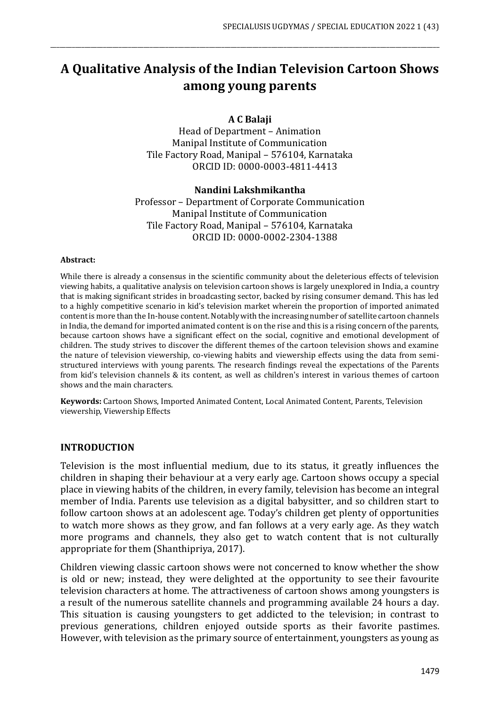# **A Qualitative Analysis of the Indian Television Cartoon Shows among young parents**

\_\_\_\_\_\_\_\_\_\_\_\_\_\_\_\_\_\_\_\_\_\_\_\_\_\_\_\_\_\_\_\_\_\_\_\_\_\_\_\_\_\_\_\_\_\_\_\_\_\_\_\_\_\_\_\_\_\_\_\_\_\_\_\_\_\_\_\_\_\_\_\_\_\_\_\_\_\_\_\_\_\_\_\_\_\_\_\_\_\_\_\_\_\_\_\_\_\_\_\_\_\_\_\_\_\_\_\_\_\_\_\_\_\_\_\_\_\_\_\_\_\_\_\_\_

#### **A C Balaji**

Head of Department – Animation Manipal Institute of Communication Tile Factory Road, Manipal – 576104, Karnataka ORCID ID: 0000-0003-4811-4413

#### **Nandini Lakshmikantha**

Professor – Department of Corporate Communication Manipal Institute of Communication Tile Factory Road, Manipal – 576104, Karnataka ORCID ID: 0000-0002-2304-1388

#### **Abstract:**

While there is already a consensus in the scientific community about the deleterious effects of television viewing habits, a qualitative analysis on television cartoon shows is largely unexplored in India, a country that is making significant strides in broadcasting sector, backed by rising consumer demand. This has led to a highly competitive scenario in kid's television market wherein the proportion of imported animated content is more than the In-house content. Notably with the increasing number of satellite cartoon channels in India, the demand for imported animated content is on the rise and this is a rising concern of the parents, because cartoon shows have a significant effect on the social, cognitive and emotional development of children. The study strives to discover the different themes of the cartoon television shows and examine the nature of television viewership, co-viewing habits and viewership effects using the data from semistructured interviews with young parents. The research findings reveal the expectations of the Parents from kid's television channels & its content, as well as children's interest in various themes of cartoon shows and the main characters.

**Keywords:** Cartoon Shows, Imported Animated Content, Local Animated Content, Parents, Television viewership, Viewership Effects

#### **INTRODUCTION**

Television is the most influential medium, due to its status, it greatly influences the children in shaping their behaviour at a very early age. Cartoon shows occupy a special place in viewing habits of the children, in every family, television has become an integral member of India. Parents use television as a digital babysitter, and so children start to follow cartoon shows at an adolescent age. Today's children get plenty of opportunities to watch more shows as they grow, and fan follows at a very early age. As they watch more programs and channels, they also get to watch content that is not culturally appropriate for them (Shanthipriya, 2017).

Children viewing classic cartoon shows were not concerned to know whether the show is old or new; instead, they were delighted at the opportunity to see their favourite television characters at home. The attractiveness of cartoon shows among youngsters is a result of the numerous satellite channels and programming available 24 hours a day. This situation is causing youngsters to get addicted to the television; in contrast to previous generations, children enjoyed outside sports as their favorite pastimes. However, with television as the primary source of entertainment, youngsters as young as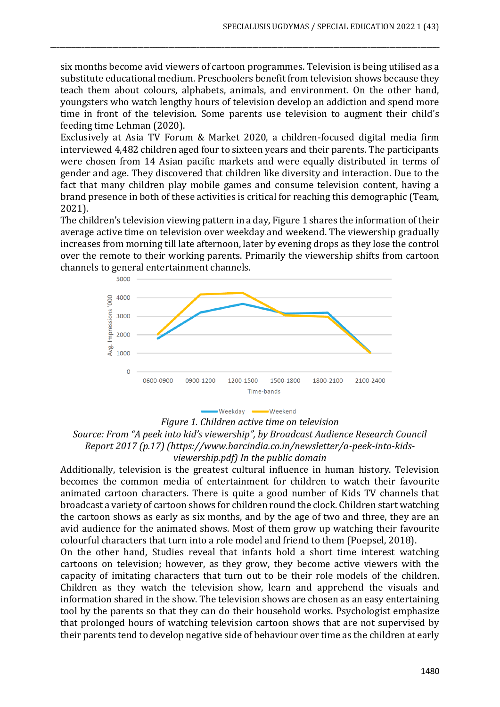six months become avid viewers of cartoon programmes. Television is being utilised as a substitute educational medium. Preschoolers benefit from television shows because they teach them about colours, alphabets, animals, and environment. On the other hand, youngsters who watch lengthy hours of television develop an addiction and spend more time in front of the television. Some parents use television to augment their child's feeding time Lehman (2020).

\_\_\_\_\_\_\_\_\_\_\_\_\_\_\_\_\_\_\_\_\_\_\_\_\_\_\_\_\_\_\_\_\_\_\_\_\_\_\_\_\_\_\_\_\_\_\_\_\_\_\_\_\_\_\_\_\_\_\_\_\_\_\_\_\_\_\_\_\_\_\_\_\_\_\_\_\_\_\_\_\_\_\_\_\_\_\_\_\_\_\_\_\_\_\_\_\_\_\_\_\_\_\_\_\_\_\_\_\_\_\_\_\_\_\_\_\_\_\_\_\_\_\_\_\_

Exclusively at Asia TV Forum & Market 2020, a children-focused digital media firm interviewed 4,482 children aged four to sixteen years and their parents. The participants were chosen from 14 Asian pacific markets and were equally distributed in terms of gender and age. They discovered that children like diversity and interaction. Due to the fact that many children play mobile games and consume television content, having a brand presence in both of these activities is critical for reaching this demographic (Team, 2021).

The children's television viewing pattern in a day, Figure 1 shares the information of their average active time on television over weekday and weekend. The viewership gradually increases from morning till late afternoon, later by evening drops as they lose the control over the remote to their working parents. Primarily the viewership shifts from cartoon channels to general entertainment channels.



**Weekend** Weekday **-**

*Figure 1. Children active time on television Source: From "A peek into kid's viewership", by Broadcast Audience Research Council Report 2017 (p.17) (https://www.barcindia.co.in/newsletter/a-peek-into-kidsviewership.pdf) In the public domain*

Additionally, television is the greatest cultural influence in human history. Television becomes the common media of entertainment for children to watch their favourite animated cartoon characters. There is quite a good number of Kids TV channels that broadcast a variety of cartoon shows for children round the clock. Children start watching the cartoon shows as early as six months, and by the age of two and three, they are an avid audience for the animated shows. Most of them grow up watching their favourite colourful characters that turn into a role model and friend to them (Poepsel, 2018).

On the other hand, Studies reveal that infants hold a short time interest watching cartoons on television; however, as they grow, they become active viewers with the capacity of imitating characters that turn out to be their role models of the children. Children as they watch the television show, learn and apprehend the visuals and information shared in the show. The television shows are chosen as an easy entertaining tool by the parents so that they can do their household works. Psychologist emphasize that prolonged hours of watching television cartoon shows that are not supervised by their parents tend to develop negative side of behaviour over time as the children at early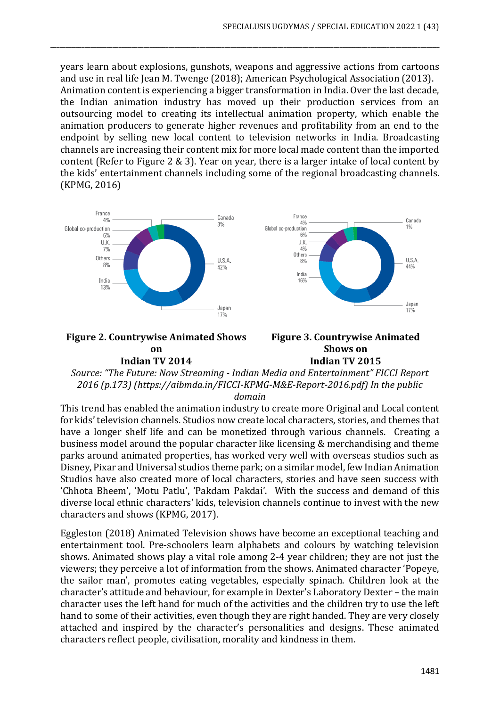years learn about explosions, gunshots, weapons and aggressive actions from cartoons and use in real life Jean M. Twenge (2018); American Psychological Association (2013). Animation content is experiencing a bigger transformation in India. Over the last decade, the Indian animation industry has moved up their production services from an outsourcing model to creating its intellectual animation property, which enable the animation producers to generate higher revenues and profitability from an end to the endpoint by selling new local content to television networks in India. Broadcasting channels are increasing their content mix for more local made content than the imported content (Refer to Figure 2 & 3). Year on year, there is a larger intake of local content by the kids' entertainment channels including some of the regional broadcasting channels. (KPMG, 2016)

\_\_\_\_\_\_\_\_\_\_\_\_\_\_\_\_\_\_\_\_\_\_\_\_\_\_\_\_\_\_\_\_\_\_\_\_\_\_\_\_\_\_\_\_\_\_\_\_\_\_\_\_\_\_\_\_\_\_\_\_\_\_\_\_\_\_\_\_\_\_\_\_\_\_\_\_\_\_\_\_\_\_\_\_\_\_\_\_\_\_\_\_\_\_\_\_\_\_\_\_\_\_\_\_\_\_\_\_\_\_\_\_\_\_\_\_\_\_\_\_\_\_\_\_\_



#### **Figure 2. Countrywise Animated Shows on Indian TV 2014**



*Source: "The Future: Now Streaming - Indian Media and Entertainment" FICCI Report 2016 (p.173) (https://aibmda.in/FICCI-KPMG-M&E-Report-2016.pdf) In the public* 

*domain*

This trend has enabled the animation industry to create more Original and Local content for kids' television channels. Studios now create local characters, stories, and themes that have a longer shelf life and can be monetized through various channels. Creating a business model around the popular character like licensing & merchandising and theme parks around animated properties, has worked very well with overseas studios such as Disney, Pixar and Universal studios theme park; on a similar model, few Indian Animation Studios have also created more of local characters, stories and have seen success with 'Chhota Bheem', 'Motu Patlu', 'Pakdam Pakdai'. With the success and demand of this diverse local ethnic characters' kids, television channels continue to invest with the new characters and shows (KPMG, 2017).

Eggleston (2018) Animated Television shows have become an exceptional teaching and entertainment tool. Pre-schoolers learn alphabets and colours by watching television shows. Animated shows play a vital role among 2-4 year children; they are not just the viewers; they perceive a lot of information from the shows. Animated character 'Popeye, the sailor man', promotes eating vegetables, especially spinach. Children look at the character's attitude and behaviour, for example in Dexter's Laboratory Dexter – the main character uses the left hand for much of the activities and the children try to use the left hand to some of their activities, even though they are right handed. They are very closely attached and inspired by the character's personalities and designs. These animated characters reflect people, civilisation, morality and kindness in them.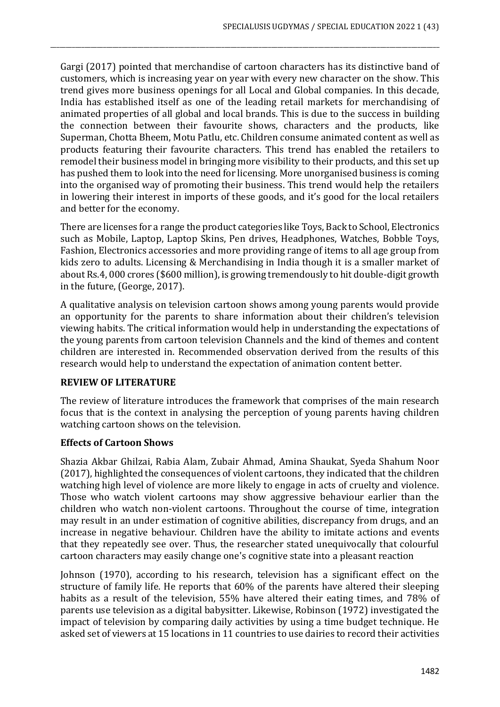Gargi (2017) pointed that merchandise of cartoon characters has its distinctive band of customers, which is increasing year on year with every new character on the show. This trend gives more business openings for all Local and Global companies. In this decade, India has established itself as one of the leading retail markets for merchandising of animated properties of all global and local brands. This is due to the success in building the connection between their favourite shows, characters and the products, like Superman, Chotta Bheem, Motu Patlu, etc. Children consume animated content as well as products featuring their favourite characters. This trend has enabled the retailers to remodel their business model in bringing more visibility to their products, and this set up has pushed them to look into the need for licensing. More unorganised business is coming into the organised way of promoting their business. This trend would help the retailers in lowering their interest in imports of these goods, and it's good for the local retailers and better for the economy.

\_\_\_\_\_\_\_\_\_\_\_\_\_\_\_\_\_\_\_\_\_\_\_\_\_\_\_\_\_\_\_\_\_\_\_\_\_\_\_\_\_\_\_\_\_\_\_\_\_\_\_\_\_\_\_\_\_\_\_\_\_\_\_\_\_\_\_\_\_\_\_\_\_\_\_\_\_\_\_\_\_\_\_\_\_\_\_\_\_\_\_\_\_\_\_\_\_\_\_\_\_\_\_\_\_\_\_\_\_\_\_\_\_\_\_\_\_\_\_\_\_\_\_\_\_

There are licenses for a range the product categories like Toys, Back to School, Electronics such as Mobile, Laptop, Laptop Skins, Pen drives, Headphones, Watches, Bobble Toys, Fashion, Electronics accessories and more providing range of items to all age group from kids zero to adults. Licensing & Merchandising in India though it is a smaller market of about Rs.4, 000 crores (\$600 million), is growing tremendously to hit double-digit growth in the future, (George, 2017).

A qualitative analysis on television cartoon shows among young parents would provide an opportunity for the parents to share information about their children's television viewing habits. The critical information would help in understanding the expectations of the young parents from cartoon television Channels and the kind of themes and content children are interested in. Recommended observation derived from the results of this research would help to understand the expectation of animation content better.

## **REVIEW OF LITERATURE**

The review of literature introduces the framework that comprises of the main research focus that is the context in analysing the perception of young parents having children watching cartoon shows on the television.

## **Effects of Cartoon Shows**

Shazia Akbar Ghilzai, Rabia Alam, Zubair Ahmad, Amina Shaukat, Syeda Shahum Noor (2017), highlighted the consequences of violent cartoons, they indicated that the children watching high level of violence are more likely to engage in acts of cruelty and violence. Those who watch violent cartoons may show aggressive behaviour earlier than the children who watch non-violent cartoons. Throughout the course of time, integration may result in an under estimation of cognitive abilities, discrepancy from drugs, and an increase in negative behaviour. Children have the ability to imitate actions and events that they repeatedly see over. Thus, the researcher stated unequivocally that colourful cartoon characters may easily change one's cognitive state into a pleasant reaction

Johnson (1970), according to his research, television has a significant effect on the structure of family life. He reports that 60% of the parents have altered their sleeping habits as a result of the television, 55% have altered their eating times, and 78% of parents use television as a digital babysitter. Likewise, Robinson (1972) investigated the impact of television by comparing daily activities by using a time budget technique. He asked set of viewers at 15 locations in 11 countries to use dairies to record their activities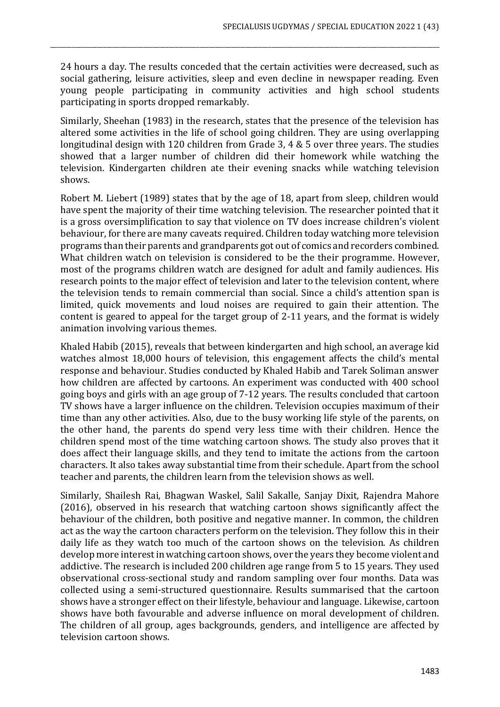24 hours a day. The results conceded that the certain activities were decreased, such as social gathering, leisure activities, sleep and even decline in newspaper reading. Even young people participating in community activities and high school students participating in sports dropped remarkably.

\_\_\_\_\_\_\_\_\_\_\_\_\_\_\_\_\_\_\_\_\_\_\_\_\_\_\_\_\_\_\_\_\_\_\_\_\_\_\_\_\_\_\_\_\_\_\_\_\_\_\_\_\_\_\_\_\_\_\_\_\_\_\_\_\_\_\_\_\_\_\_\_\_\_\_\_\_\_\_\_\_\_\_\_\_\_\_\_\_\_\_\_\_\_\_\_\_\_\_\_\_\_\_\_\_\_\_\_\_\_\_\_\_\_\_\_\_\_\_\_\_\_\_\_\_

Similarly, Sheehan (1983) in the research, states that the presence of the television has altered some activities in the life of school going children. They are using overlapping longitudinal design with 120 children from Grade 3, 4 & 5 over three years. The studies showed that a larger number of children did their homework while watching the television. Kindergarten children ate their evening snacks while watching television shows.

Robert M. Liebert (1989) states that by the age of 18, apart from sleep, children would have spent the majority of their time watching television. The researcher pointed that it is a gross oversimplification to say that violence on TV does increase children's violent behaviour, for there are many caveats required. Children today watching more television programs than their parents and grandparents got out of comics and recorders combined. What children watch on television is considered to be the their programme. However, most of the programs children watch are designed for adult and family audiences. His research points to the major effect of television and later to the television content, where the television tends to remain commercial than social. Since a child's attention span is limited, quick movements and loud noises are required to gain their attention. The content is geared to appeal for the target group of 2-11 years, and the format is widely animation involving various themes.

Khaled Habib (2015), reveals that between kindergarten and high school, an average kid watches almost 18,000 hours of television, this engagement affects the child's mental response and behaviour. Studies conducted by Khaled Habib and Tarek Soliman answer how children are affected by cartoons. An experiment was conducted with 400 school going boys and girls with an age group of 7-12 years. The results concluded that cartoon TV shows have a larger influence on the children. Television occupies maximum of their time than any other activities. Also, due to the busy working life style of the parents, on the other hand, the parents do spend very less time with their children. Hence the children spend most of the time watching cartoon shows. The study also proves that it does affect their language skills, and they tend to imitate the actions from the cartoon characters. It also takes away substantial time from their schedule. Apart from the school teacher and parents, the children learn from the television shows as well.

Similarly, Shailesh Rai, Bhagwan Waskel, Salil Sakalle, Sanjay Dixit, Rajendra Mahore (2016), observed in his research that watching cartoon shows significantly affect the behaviour of the children, both positive and negative manner. In common, the children act as the way the cartoon characters perform on the television. They follow this in their daily life as they watch too much of the cartoon shows on the television. As children develop more interest in watching cartoon shows, over the years they become violent and addictive. The research is included 200 children age range from 5 to 15 years. They used observational cross-sectional study and random sampling over four months. Data was collected using a semi-structured questionnaire. Results summarised that the cartoon shows have a stronger effect on their lifestyle, behaviour and language. Likewise, cartoon shows have both favourable and adverse influence on moral development of children. The children of all group, ages backgrounds, genders, and intelligence are affected by television cartoon shows.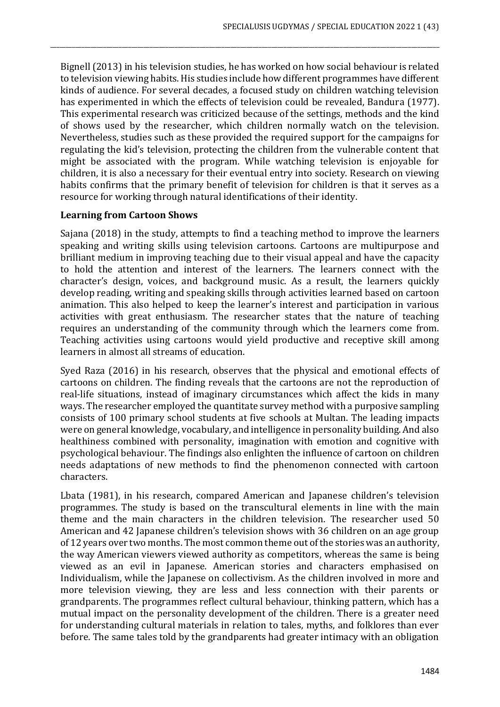Bignell (2013) in his television studies, he has worked on how social behaviour is related to television viewing habits. His studies include how different programmes have different kinds of audience. For several decades, a focused study on children watching television has experimented in which the effects of television could be revealed, Bandura (1977). This experimental research was criticized because of the settings, methods and the kind of shows used by the researcher, which children normally watch on the television. Nevertheless, studies such as these provided the required support for the campaigns for regulating the kid's television, protecting the children from the vulnerable content that might be associated with the program. While watching television is enjoyable for children, it is also a necessary for their eventual entry into society. Research on viewing habits confirms that the primary benefit of television for children is that it serves as a resource for working through natural identifications of their identity.

\_\_\_\_\_\_\_\_\_\_\_\_\_\_\_\_\_\_\_\_\_\_\_\_\_\_\_\_\_\_\_\_\_\_\_\_\_\_\_\_\_\_\_\_\_\_\_\_\_\_\_\_\_\_\_\_\_\_\_\_\_\_\_\_\_\_\_\_\_\_\_\_\_\_\_\_\_\_\_\_\_\_\_\_\_\_\_\_\_\_\_\_\_\_\_\_\_\_\_\_\_\_\_\_\_\_\_\_\_\_\_\_\_\_\_\_\_\_\_\_\_\_\_\_\_

## **Learning from Cartoon Shows**

Sajana (2018) in the study, attempts to find a teaching method to improve the learners speaking and writing skills using television cartoons. Cartoons are multipurpose and brilliant medium in improving teaching due to their visual appeal and have the capacity to hold the attention and interest of the learners. The learners connect with the character's design, voices, and background music. As a result, the learners quickly develop reading, writing and speaking skills through activities learned based on cartoon animation. This also helped to keep the learner's interest and participation in various activities with great enthusiasm. The researcher states that the nature of teaching requires an understanding of the community through which the learners come from. Teaching activities using cartoons would yield productive and receptive skill among learners in almost all streams of education.

Syed Raza (2016) in his research, observes that the physical and emotional effects of cartoons on children. The finding reveals that the cartoons are not the reproduction of real-life situations, instead of imaginary circumstances which affect the kids in many ways. The researcher employed the quantitate survey method with a purposive sampling consists of 100 primary school students at five schools at Multan. The leading impacts were on general knowledge, vocabulary, and intelligence in personality building. And also healthiness combined with personality, imagination with emotion and cognitive with psychological behaviour. The findings also enlighten the influence of cartoon on children needs adaptations of new methods to find the phenomenon connected with cartoon characters.

Lbata (1981), in his research, compared American and Japanese children's television programmes. The study is based on the transcultural elements in line with the main theme and the main characters in the children television. The researcher used 50 American and 42 Japanese children's television shows with 36 children on an age group of 12 years over two months. The most common theme out of the stories was an authority, the way American viewers viewed authority as competitors, whereas the same is being viewed as an evil in Japanese. American stories and characters emphasised on Individualism, while the Japanese on collectivism. As the children involved in more and more television viewing, they are less and less connection with their parents or grandparents. The programmes reflect cultural behaviour, thinking pattern, which has a mutual impact on the personality development of the children. There is a greater need for understanding cultural materials in relation to tales, myths, and folklores than ever before. The same tales told by the grandparents had greater intimacy with an obligation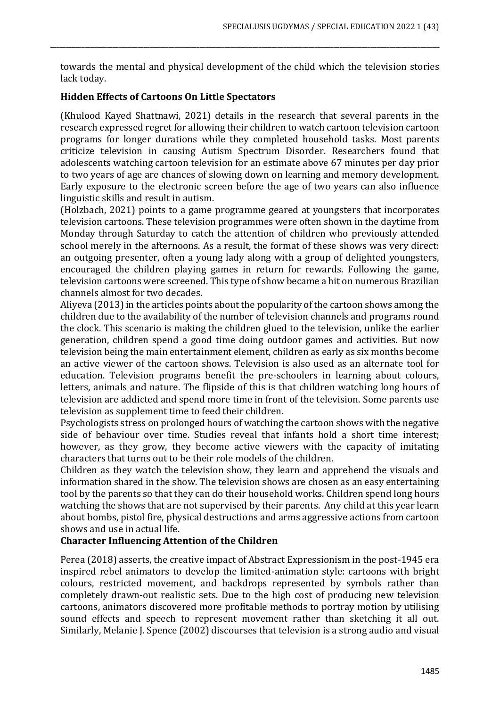towards the mental and physical development of the child which the television stories lack today.

\_\_\_\_\_\_\_\_\_\_\_\_\_\_\_\_\_\_\_\_\_\_\_\_\_\_\_\_\_\_\_\_\_\_\_\_\_\_\_\_\_\_\_\_\_\_\_\_\_\_\_\_\_\_\_\_\_\_\_\_\_\_\_\_\_\_\_\_\_\_\_\_\_\_\_\_\_\_\_\_\_\_\_\_\_\_\_\_\_\_\_\_\_\_\_\_\_\_\_\_\_\_\_\_\_\_\_\_\_\_\_\_\_\_\_\_\_\_\_\_\_\_\_\_\_

## **Hidden Effects of Cartoons On Little Spectators**

(Khulood Kayed Shattnawi, 2021) details in the research that several parents in the research expressed regret for allowing their children to watch cartoon television cartoon programs for longer durations while they completed household tasks. Most parents criticize television in causing Autism Spectrum Disorder. Researchers found that adolescents watching cartoon television for an estimate above 67 minutes per day prior to two years of age are chances of slowing down on learning and memory development. Early exposure to the electronic screen before the age of two years can also influence linguistic skills and result in autism.

(Holzbach, 2021) points to a game programme geared at youngsters that incorporates television cartoons. These television programmes were often shown in the daytime from Monday through Saturday to catch the attention of children who previously attended school merely in the afternoons. As a result, the format of these shows was very direct: an outgoing presenter, often a young lady along with a group of delighted youngsters, encouraged the children playing games in return for rewards. Following the game, television cartoons were screened. This type of show became a hit on numerous Brazilian channels almost for two decades.

Aliyeva (2013) in the articles points about the popularity of the cartoon shows among the children due to the availability of the number of television channels and programs round the clock. This scenario is making the children glued to the television, unlike the earlier generation, children spend a good time doing outdoor games and activities. But now television being the main entertainment element, children as early as six months become an active viewer of the cartoon shows. Television is also used as an alternate tool for education. Television programs benefit the pre-schoolers in learning about colours, letters, animals and nature. The flipside of this is that children watching long hours of television are addicted and spend more time in front of the television. Some parents use television as supplement time to feed their children.

Psychologists stress on prolonged hours of watching the cartoon shows with the negative side of behaviour over time. Studies reveal that infants hold a short time interest; however, as they grow, they become active viewers with the capacity of imitating characters that turns out to be their role models of the children.

Children as they watch the television show, they learn and apprehend the visuals and information shared in the show. The television shows are chosen as an easy entertaining tool by the parents so that they can do their household works. Children spend long hours watching the shows that are not supervised by their parents. Any child at this year learn about bombs, pistol fire, physical destructions and arms aggressive actions from cartoon shows and use in actual life.

## **Character Influencing Attention of the Children**

Perea (2018) asserts, the creative impact of Abstract Expressionism in the post-1945 era inspired rebel animators to develop the limited-animation style: cartoons with bright colours, restricted movement, and backdrops represented by symbols rather than completely drawn-out realistic sets. Due to the high cost of producing new television cartoons, animators discovered more profitable methods to portray motion by utilising sound effects and speech to represent movement rather than sketching it all out. Similarly, Melanie J. Spence (2002) discourses that television is a strong audio and visual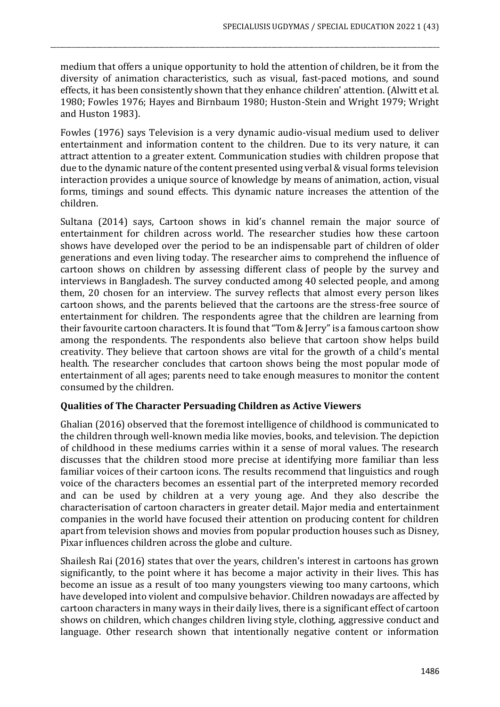medium that offers a unique opportunity to hold the attention of children, be it from the diversity of animation characteristics, such as visual, fast-paced motions, and sound effects, it has been consistently shown that they enhance children' attention. (Alwitt et al. 1980; Fowles 1976; Hayes and Birnbaum 1980; Huston-Stein and Wright 1979; Wright and Huston 1983).

\_\_\_\_\_\_\_\_\_\_\_\_\_\_\_\_\_\_\_\_\_\_\_\_\_\_\_\_\_\_\_\_\_\_\_\_\_\_\_\_\_\_\_\_\_\_\_\_\_\_\_\_\_\_\_\_\_\_\_\_\_\_\_\_\_\_\_\_\_\_\_\_\_\_\_\_\_\_\_\_\_\_\_\_\_\_\_\_\_\_\_\_\_\_\_\_\_\_\_\_\_\_\_\_\_\_\_\_\_\_\_\_\_\_\_\_\_\_\_\_\_\_\_\_\_

Fowles (1976) says Television is a very dynamic audio-visual medium used to deliver entertainment and information content to the children. Due to its very nature, it can attract attention to a greater extent. Communication studies with children propose that due to the dynamic nature of the content presented using verbal & visual forms television interaction provides a unique source of knowledge by means of animation, action, visual forms, timings and sound effects. This dynamic nature increases the attention of the children.

Sultana (2014) says, Cartoon shows in kid's channel remain the major source of entertainment for children across world. The researcher studies how these cartoon shows have developed over the period to be an indispensable part of children of older generations and even living today. The researcher aims to comprehend the influence of cartoon shows on children by assessing different class of people by the survey and interviews in Bangladesh. The survey conducted among 40 selected people, and among them, 20 chosen for an interview. The survey reflects that almost every person likes cartoon shows, and the parents believed that the cartoons are the stress-free source of entertainment for children. The respondents agree that the children are learning from their favourite cartoon characters. It is found that "Tom & Jerry" is a famous cartoon show among the respondents. The respondents also believe that cartoon show helps build creativity. They believe that cartoon shows are vital for the growth of a child's mental health. The researcher concludes that cartoon shows being the most popular mode of entertainment of all ages; parents need to take enough measures to monitor the content consumed by the children.

## **Qualities of The Character Persuading Children as Active Viewers**

Ghalian (2016) observed that the foremost intelligence of childhood is communicated to the children through well-known media like movies, books, and television. The depiction of childhood in these mediums carries within it a sense of moral values. The research discusses that the children stood more precise at identifying more familiar than less familiar voices of their cartoon icons. The results recommend that linguistics and rough voice of the characters becomes an essential part of the interpreted memory recorded and can be used by children at a very young age. And they also describe the characterisation of cartoon characters in greater detail. Major media and entertainment companies in the world have focused their attention on producing content for children apart from television shows and movies from popular production houses such as Disney, Pixar influences children across the globe and culture.

Shailesh Rai (2016) states that over the years, children's interest in cartoons has grown significantly, to the point where it has become a major activity in their lives. This has become an issue as a result of too many youngsters viewing too many cartoons, which have developed into violent and compulsive behavior. Children nowadays are affected by cartoon characters in many ways in their daily lives, there is a significant effect of cartoon shows on children, which changes children living style, clothing, aggressive conduct and language. Other research shown that intentionally negative content or information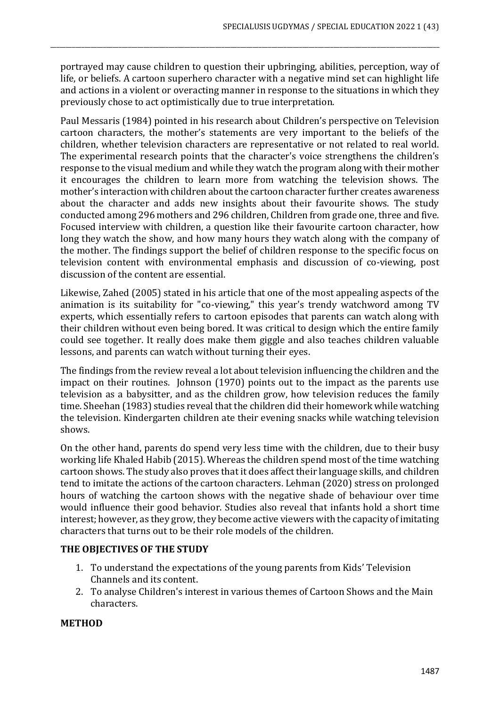portrayed may cause children to question their upbringing, abilities, perception, way of life, or beliefs. A cartoon superhero character with a negative mind set can highlight life and actions in a violent or overacting manner in response to the situations in which they previously chose to act optimistically due to true interpretation.

\_\_\_\_\_\_\_\_\_\_\_\_\_\_\_\_\_\_\_\_\_\_\_\_\_\_\_\_\_\_\_\_\_\_\_\_\_\_\_\_\_\_\_\_\_\_\_\_\_\_\_\_\_\_\_\_\_\_\_\_\_\_\_\_\_\_\_\_\_\_\_\_\_\_\_\_\_\_\_\_\_\_\_\_\_\_\_\_\_\_\_\_\_\_\_\_\_\_\_\_\_\_\_\_\_\_\_\_\_\_\_\_\_\_\_\_\_\_\_\_\_\_\_\_\_

Paul Messaris (1984) pointed in his research about Children's perspective on Television cartoon characters, the mother's statements are very important to the beliefs of the children, whether television characters are representative or not related to real world. The experimental research points that the character's voice strengthens the children's response to the visual medium and while they watch the program along with their mother it encourages the children to learn more from watching the television shows. The mother's interaction with children about the cartoon character further creates awareness about the character and adds new insights about their favourite shows. The study conducted among 296 mothers and 296 children, Children from grade one, three and five. Focused interview with children, a question like their favourite cartoon character, how long they watch the show, and how many hours they watch along with the company of the mother. The findings support the belief of children response to the specific focus on television content with environmental emphasis and discussion of co-viewing, post discussion of the content are essential.

Likewise, Zahed (2005) stated in his article that one of the most appealing aspects of the animation is its suitability for "co-viewing," this year's trendy watchword among TV experts, which essentially refers to cartoon episodes that parents can watch along with their children without even being bored. It was critical to design which the entire family could see together. It really does make them giggle and also teaches children valuable lessons, and parents can watch without turning their eyes.

The findings from the review reveal a lot about television influencing the children and the impact on their routines. Johnson (1970) points out to the impact as the parents use television as a babysitter, and as the children grow, how television reduces the family time. Sheehan (1983) studies reveal that the children did their homework while watching the television. Kindergarten children ate their evening snacks while watching television shows.

On the other hand, parents do spend very less time with the children, due to their busy working life Khaled Habib (2015). Whereas the children spend most of the time watching cartoon shows. The study also proves that it does affect their language skills, and children tend to imitate the actions of the cartoon characters. Lehman (2020) stress on prolonged hours of watching the cartoon shows with the negative shade of behaviour over time would influence their good behavior. Studies also reveal that infants hold a short time interest; however, as they grow, they become active viewers with the capacity of imitating characters that turns out to be their role models of the children.

## **THE OBJECTIVES OF THE STUDY**

- 1. To understand the expectations of the young parents from Kids' Television Channels and its content.
- 2. To analyse Children's interest in various themes of Cartoon Shows and the Main characters.

#### **METHOD**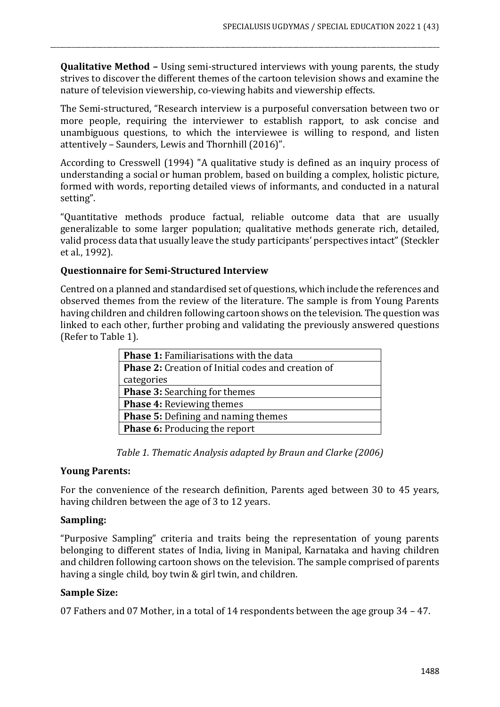**Qualitative Method –** Using semi-structured interviews with young parents, the study strives to discover the different themes of the cartoon television shows and examine the nature of television viewership, co-viewing habits and viewership effects.

\_\_\_\_\_\_\_\_\_\_\_\_\_\_\_\_\_\_\_\_\_\_\_\_\_\_\_\_\_\_\_\_\_\_\_\_\_\_\_\_\_\_\_\_\_\_\_\_\_\_\_\_\_\_\_\_\_\_\_\_\_\_\_\_\_\_\_\_\_\_\_\_\_\_\_\_\_\_\_\_\_\_\_\_\_\_\_\_\_\_\_\_\_\_\_\_\_\_\_\_\_\_\_\_\_\_\_\_\_\_\_\_\_\_\_\_\_\_\_\_\_\_\_\_\_

The Semi-structured, "Research interview is a purposeful conversation between two or more people, requiring the interviewer to establish rapport, to ask concise and unambiguous questions, to which the interviewee is willing to respond, and listen attentively – Saunders, Lewis and Thornhill (2016)".

According to Cresswell (1994) "A qualitative study is defined as an inquiry process of understanding a social or human problem, based on building a complex, holistic picture, formed with words, reporting detailed views of informants, and conducted in a natural setting".

"Quantitative methods produce factual, reliable outcome data that are usually generalizable to some larger population; qualitative methods generate rich, detailed, valid process data that usually leave the study participants' perspectives intact" (Steckler et al., 1992).

## **Questionnaire for Semi-Structured Interview**

Centred on a planned and standardised set of questions, which include the references and observed themes from the review of the literature. The sample is from Young Parents having children and children following cartoon shows on the television. The question was linked to each other, further probing and validating the previously answered questions (Refer to Table 1).

| <b>Phase 1: Familiarisations with the data</b>            |
|-----------------------------------------------------------|
| <b>Phase 2:</b> Creation of Initial codes and creation of |
| categories                                                |
| <b>Phase 3: Searching for themes</b>                      |
| <b>Phase 4: Reviewing themes</b>                          |
| <b>Phase 5: Defining and naming themes</b>                |
| <b>Phase 6: Producing the report</b>                      |

*Table 1. Thematic Analysis adapted by Braun and Clarke (2006)*

#### **Young Parents:**

For the convenience of the research definition, Parents aged between 30 to 45 years, having children between the age of 3 to 12 years.

#### **Sampling:**

"Purposive Sampling" criteria and traits being the representation of young parents belonging to different states of India, living in Manipal, Karnataka and having children and children following cartoon shows on the television. The sample comprised of parents having a single child, boy twin & girl twin, and children.

#### **Sample Size:**

07 Fathers and 07 Mother, in a total of 14 respondents between the age group 34 – 47.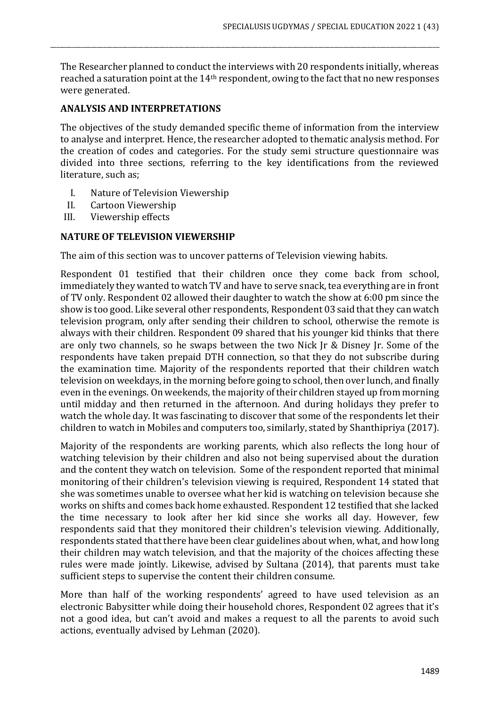The Researcher planned to conduct the interviews with 20 respondents initially, whereas reached a saturation point at the 14th respondent, owing to the fact that no new responses were generated.

\_\_\_\_\_\_\_\_\_\_\_\_\_\_\_\_\_\_\_\_\_\_\_\_\_\_\_\_\_\_\_\_\_\_\_\_\_\_\_\_\_\_\_\_\_\_\_\_\_\_\_\_\_\_\_\_\_\_\_\_\_\_\_\_\_\_\_\_\_\_\_\_\_\_\_\_\_\_\_\_\_\_\_\_\_\_\_\_\_\_\_\_\_\_\_\_\_\_\_\_\_\_\_\_\_\_\_\_\_\_\_\_\_\_\_\_\_\_\_\_\_\_\_\_\_

## **ANALYSIS AND INTERPRETATIONS**

The objectives of the study demanded specific theme of information from the interview to analyse and interpret. Hence, the researcher adopted to thematic analysis method. For the creation of codes and categories. For the study semi structure questionnaire was divided into three sections, referring to the key identifications from the reviewed literature, such as;

- I. Nature of Television Viewership
- II. Cartoon Viewership
- III. Viewership effects

## **NATURE OF TELEVISION VIEWERSHIP**

The aim of this section was to uncover patterns of Television viewing habits.

Respondent 01 testified that their children once they come back from school, immediately they wanted to watch TV and have to serve snack, tea everything are in front of TV only. Respondent 02 allowed their daughter to watch the show at 6:00 pm since the show is too good. Like several other respondents, Respondent 03 said that they can watch television program, only after sending their children to school, otherwise the remote is always with their children. Respondent 09 shared that his younger kid thinks that there are only two channels, so he swaps between the two Nick Jr & Disney Jr. Some of the respondents have taken prepaid DTH connection, so that they do not subscribe during the examination time. Majority of the respondents reported that their children watch television on weekdays, in the morning before going to school, then over lunch, and finally even in the evenings. On weekends, the majority of their children stayed up from morning until midday and then returned in the afternoon. And during holidays they prefer to watch the whole day. It was fascinating to discover that some of the respondents let their children to watch in Mobiles and computers too, similarly, stated by Shanthipriya (2017).

Majority of the respondents are working parents, which also reflects the long hour of watching television by their children and also not being supervised about the duration and the content they watch on television. Some of the respondent reported that minimal monitoring of their children's television viewing is required, Respondent 14 stated that she was sometimes unable to oversee what her kid is watching on television because she works on shifts and comes back home exhausted. Respondent 12 testified that she lacked the time necessary to look after her kid since she works all day. However, few respondents said that they monitored their children's television viewing. Additionally, respondents stated that there have been clear guidelines about when, what, and how long their children may watch television, and that the majority of the choices affecting these rules were made jointly. Likewise, advised by Sultana (2014), that parents must take sufficient steps to supervise the content their children consume.

More than half of the working respondents' agreed to have used television as an electronic Babysitter while doing their household chores, Respondent 02 agrees that it's not a good idea, but can't avoid and makes a request to all the parents to avoid such actions, eventually advised by Lehman (2020).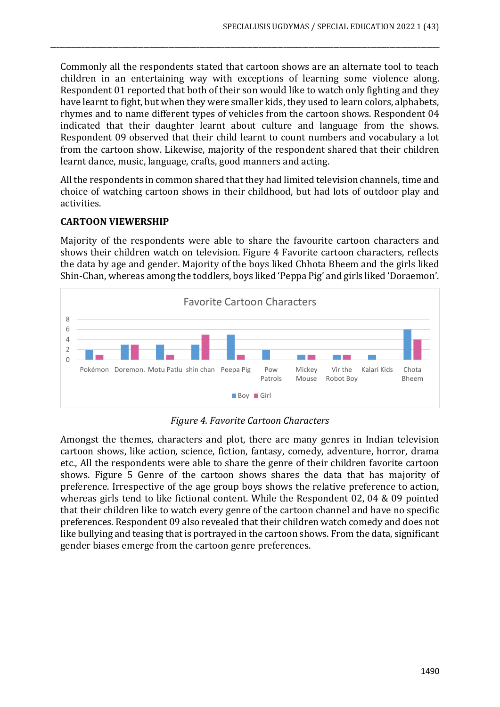Commonly all the respondents stated that cartoon shows are an alternate tool to teach children in an entertaining way with exceptions of learning some violence along. Respondent 01 reported that both of their son would like to watch only fighting and they have learnt to fight, but when they were smaller kids, they used to learn colors, alphabets, rhymes and to name different types of vehicles from the cartoon shows. Respondent 04 indicated that their daughter learnt about culture and language from the shows. Respondent 09 observed that their child learnt to count numbers and vocabulary a lot from the cartoon show. Likewise, majority of the respondent shared that their children learnt dance, music, language, crafts, good manners and acting.

\_\_\_\_\_\_\_\_\_\_\_\_\_\_\_\_\_\_\_\_\_\_\_\_\_\_\_\_\_\_\_\_\_\_\_\_\_\_\_\_\_\_\_\_\_\_\_\_\_\_\_\_\_\_\_\_\_\_\_\_\_\_\_\_\_\_\_\_\_\_\_\_\_\_\_\_\_\_\_\_\_\_\_\_\_\_\_\_\_\_\_\_\_\_\_\_\_\_\_\_\_\_\_\_\_\_\_\_\_\_\_\_\_\_\_\_\_\_\_\_\_\_\_\_\_

All the respondents in common shared that they had limited television channels, time and choice of watching cartoon shows in their childhood, but had lots of outdoor play and activities.

## **CARTOON VIEWERSHIP**

Majority of the respondents were able to share the favourite cartoon characters and shows their children watch on television. Figure 4 Favorite cartoon characters, reflects the data by age and gender. Majority of the boys liked Chhota Bheem and the girls liked Shin-Chan, whereas among the toddlers, boys liked 'Peppa Pig' and girls liked 'Doraemon'.



## *Figure 4. Favorite Cartoon Characters*

Amongst the themes, characters and plot, there are many genres in Indian television cartoon shows, like action, science, fiction, fantasy, comedy, adventure, horror, drama etc., All the respondents were able to share the genre of their children favorite cartoon shows. Figure 5 Genre of the cartoon shows shares the data that has majority of preference. Irrespective of the age group boys shows the relative preference to action, whereas girls tend to like fictional content. While the Respondent 02, 04 & 09 pointed that their children like to watch every genre of the cartoon channel and have no specific preferences. Respondent 09 also revealed that their children watch comedy and does not like bullying and teasing that is portrayed in the cartoon shows. From the data, significant gender biases emerge from the cartoon genre preferences.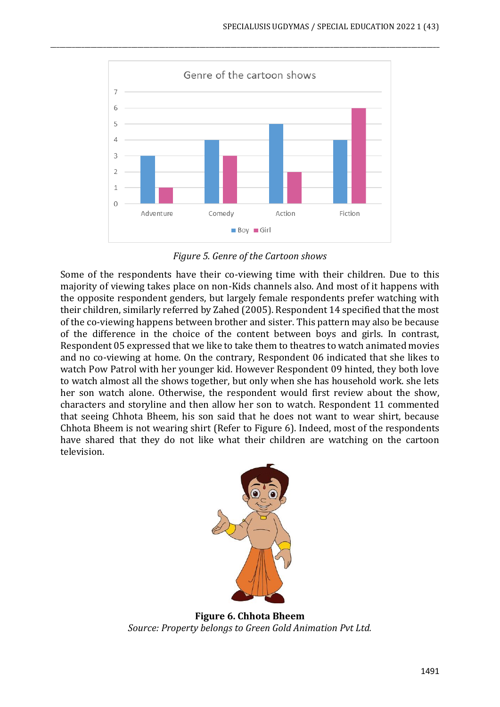

\_\_\_\_\_\_\_\_\_\_\_\_\_\_\_\_\_\_\_\_\_\_\_\_\_\_\_\_\_\_\_\_\_\_\_\_\_\_\_\_\_\_\_\_\_\_\_\_\_\_\_\_\_\_\_\_\_\_\_\_\_\_\_\_\_\_\_\_\_\_\_\_\_\_\_\_\_\_\_\_\_\_\_\_\_\_\_\_\_\_\_\_\_\_\_\_\_\_\_\_\_\_\_\_\_\_\_\_\_\_\_\_\_\_\_\_\_\_\_\_\_\_\_\_\_

*Figure 5. Genre of the Cartoon shows*

Some of the respondents have their co-viewing time with their children. Due to this majority of viewing takes place on non-Kids channels also. And most of it happens with the opposite respondent genders, but largely female respondents prefer watching with their children, similarly referred by Zahed (2005). Respondent 14 specified that the most of the co-viewing happens between brother and sister. This pattern may also be because of the difference in the choice of the content between boys and girls. In contrast, Respondent 05 expressed that we like to take them to theatres to watch animated movies and no co-viewing at home. On the contrary, Respondent 06 indicated that she likes to watch Pow Patrol with her younger kid. However Respondent 09 hinted, they both love to watch almost all the shows together, but only when she has household work. she lets her son watch alone. Otherwise, the respondent would first review about the show, characters and storyline and then allow her son to watch. Respondent 11 commented that seeing Chhota Bheem, his son said that he does not want to wear shirt, because Chhota Bheem is not wearing shirt (Refer to Figure 6). Indeed, most of the respondents have shared that they do not like what their children are watching on the cartoon television.



**Figure 6. Chhota Bheem** *Source: Property belongs to Green Gold Animation Pvt Ltd.*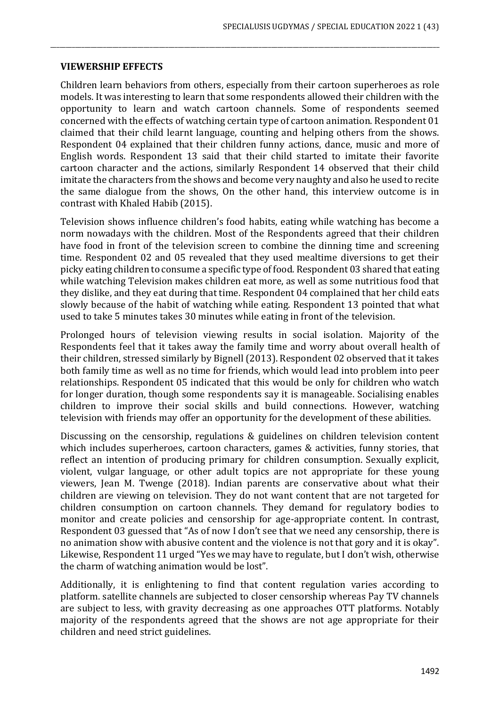#### **VIEWERSHIP EFFECTS**

Children learn behaviors from others, especially from their cartoon superheroes as role models. It was interesting to learn that some respondents allowed their children with the opportunity to learn and watch cartoon channels. Some of respondents seemed concerned with the effects of watching certain type of cartoon animation. Respondent 01 claimed that their child learnt language, counting and helping others from the shows. Respondent 04 explained that their children funny actions, dance, music and more of English words. Respondent 13 said that their child started to imitate their favorite cartoon character and the actions, similarly Respondent 14 observed that their child imitate the characters from the shows and become very naughty and also he used to recite the same dialogue from the shows, On the other hand, this interview outcome is in contrast with Khaled Habib (2015).

\_\_\_\_\_\_\_\_\_\_\_\_\_\_\_\_\_\_\_\_\_\_\_\_\_\_\_\_\_\_\_\_\_\_\_\_\_\_\_\_\_\_\_\_\_\_\_\_\_\_\_\_\_\_\_\_\_\_\_\_\_\_\_\_\_\_\_\_\_\_\_\_\_\_\_\_\_\_\_\_\_\_\_\_\_\_\_\_\_\_\_\_\_\_\_\_\_\_\_\_\_\_\_\_\_\_\_\_\_\_\_\_\_\_\_\_\_\_\_\_\_\_\_\_\_

Television shows influence children's food habits, eating while watching has become a norm nowadays with the children. Most of the Respondents agreed that their children have food in front of the television screen to combine the dinning time and screening time. Respondent 02 and 05 revealed that they used mealtime diversions to get their picky eating children to consume a specific type of food. Respondent 03 shared that eating while watching Television makes children eat more, as well as some nutritious food that they dislike, and they eat during that time. Respondent 04 complained that her child eats slowly because of the habit of watching while eating. Respondent 13 pointed that what used to take 5 minutes takes 30 minutes while eating in front of the television.

Prolonged hours of television viewing results in social isolation. Majority of the Respondents feel that it takes away the family time and worry about overall health of their children, stressed similarly by Bignell (2013). Respondent 02 observed that it takes both family time as well as no time for friends, which would lead into problem into peer relationships. Respondent 05 indicated that this would be only for children who watch for longer duration, though some respondents say it is manageable. Socialising enables children to improve their social skills and build connections. However, watching television with friends may offer an opportunity for the development of these abilities.

Discussing on the censorship, regulations & guidelines on children television content which includes superheroes, cartoon characters, games & activities, funny stories, that reflect an intention of producing primary for children consumption. Sexually explicit, violent, vulgar language, or other adult topics are not appropriate for these young viewers, Jean M. Twenge (2018). Indian parents are conservative about what their children are viewing on television. They do not want content that are not targeted for children consumption on cartoon channels. They demand for regulatory bodies to monitor and create policies and censorship for age-appropriate content. In contrast, Respondent 03 guessed that "As of now I don't see that we need any censorship, there is no animation show with abusive content and the violence is not that gory and it is okay". Likewise, Respondent 11 urged "Yes we may have to regulate, but I don't wish, otherwise the charm of watching animation would be lost".

Additionally, it is enlightening to find that content regulation varies according to platform. satellite channels are subjected to closer censorship whereas Pay TV channels are subject to less, with gravity decreasing as one approaches OTT platforms. Notably majority of the respondents agreed that the shows are not age appropriate for their children and need strict guidelines.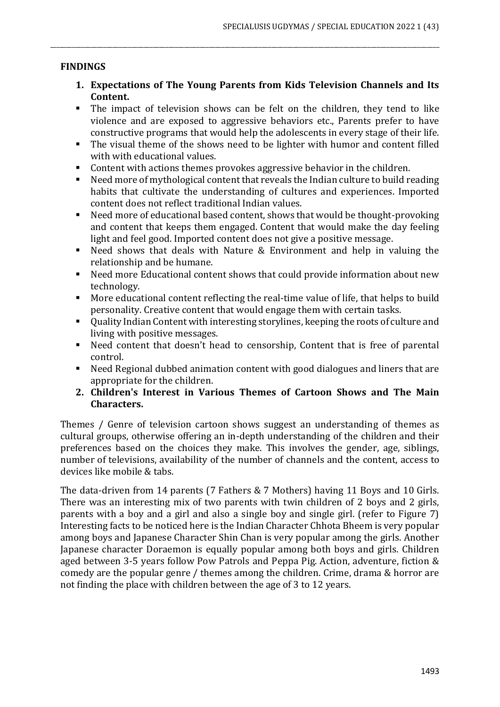## **FINDINGS**

**1. Expectations of The Young Parents from Kids Television Channels and Its Content.** 

\_\_\_\_\_\_\_\_\_\_\_\_\_\_\_\_\_\_\_\_\_\_\_\_\_\_\_\_\_\_\_\_\_\_\_\_\_\_\_\_\_\_\_\_\_\_\_\_\_\_\_\_\_\_\_\_\_\_\_\_\_\_\_\_\_\_\_\_\_\_\_\_\_\_\_\_\_\_\_\_\_\_\_\_\_\_\_\_\_\_\_\_\_\_\_\_\_\_\_\_\_\_\_\_\_\_\_\_\_\_\_\_\_\_\_\_\_\_\_\_\_\_\_\_\_

- The impact of television shows can be felt on the children, they tend to like violence and are exposed to aggressive behaviors etc., Parents prefer to have constructive programs that would help the adolescents in every stage of their life.
- The visual theme of the shows need to be lighter with humor and content filled with with educational values.
- Content with actions themes provokes aggressive behavior in the children.
- Need more of mythological content that reveals the Indian culture to build reading habits that cultivate the understanding of cultures and experiences. Imported content does not reflect traditional Indian values.
- Need more of educational based content, shows that would be thought-provoking and content that keeps them engaged. Content that would make the day feeling light and feel good. Imported content does not give a positive message.
- Need shows that deals with Nature & Environment and help in valuing the relationship and be humane.
- Need more Educational content shows that could provide information about new technology.
- More educational content reflecting the real-time value of life, that helps to build personality. Creative content that would engage them with certain tasks.
- Ouality Indian Content with interesting storylines, keeping the roots of culture and living with positive messages.
- Need content that doesn't head to censorship, Content that is free of parental control.
- Need Regional dubbed animation content with good dialogues and liners that are appropriate for the children.
- **2. Children's Interest in Various Themes of Cartoon Shows and The Main Characters.**

Themes / Genre of television cartoon shows suggest an understanding of themes as cultural groups, otherwise offering an in-depth understanding of the children and their preferences based on the choices they make. This involves the gender, age, siblings, number of televisions, availability of the number of channels and the content, access to devices like mobile & tabs.

The data-driven from 14 parents (7 Fathers & 7 Mothers) having 11 Boys and 10 Girls. There was an interesting mix of two parents with twin children of 2 boys and 2 girls, parents with a boy and a girl and also a single boy and single girl. (refer to Figure 7) Interesting facts to be noticed here is the Indian Character Chhota Bheem is very popular among boys and Japanese Character Shin Chan is very popular among the girls. Another Japanese character Doraemon is equally popular among both boys and girls. Children aged between 3-5 years follow Pow Patrols and Peppa Pig. Action, adventure, fiction & comedy are the popular genre / themes among the children. Crime, drama & horror are not finding the place with children between the age of 3 to 12 years.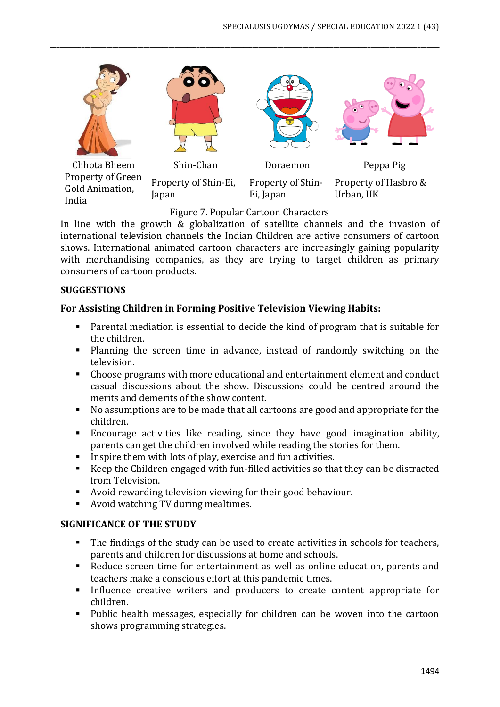

\_\_\_\_\_\_\_\_\_\_\_\_\_\_\_\_\_\_\_\_\_\_\_\_\_\_\_\_\_\_\_\_\_\_\_\_\_\_\_\_\_\_\_\_\_\_\_\_\_\_\_\_\_\_\_\_\_\_\_\_\_\_\_\_\_\_\_\_\_\_\_\_\_\_\_\_\_\_\_\_\_\_\_\_\_\_\_\_\_\_\_\_\_\_\_\_\_\_\_\_\_\_\_\_\_\_\_\_\_\_\_\_\_\_\_\_\_\_\_\_\_\_\_\_\_

# Figure 7. Popular Cartoon Characters

In line with the growth & globalization of satellite channels and the invasion of international television channels the Indian Children are active consumers of cartoon shows. International animated cartoon characters are increasingly gaining popularity with merchandising companies, as they are trying to target children as primary consumers of cartoon products.

## **SUGGESTIONS**

# **For Assisting Children in Forming Positive Television Viewing Habits:**

- Parental mediation is essential to decide the kind of program that is suitable for the children.
- Planning the screen time in advance, instead of randomly switching on the television.
- Choose programs with more educational and entertainment element and conduct casual discussions about the show. Discussions could be centred around the merits and demerits of the show content.
- No assumptions are to be made that all cartoons are good and appropriate for the children.
- Encourage activities like reading, since they have good imagination ability, parents can get the children involved while reading the stories for them.
- Inspire them with lots of play, exercise and fun activities.
- Keep the Children engaged with fun-filled activities so that they can be distracted from Television.
- Avoid rewarding television viewing for their good behaviour.
- Avoid watching TV during mealtimes.

## **SIGNIFICANCE OF THE STUDY**

- The findings of the study can be used to create activities in schools for teachers, parents and children for discussions at home and schools.
- Reduce screen time for entertainment as well as online education, parents and teachers make a conscious effort at this pandemic times.
- Influence creative writers and producers to create content appropriate for children.
- Public health messages, especially for children can be woven into the cartoon shows programming strategies.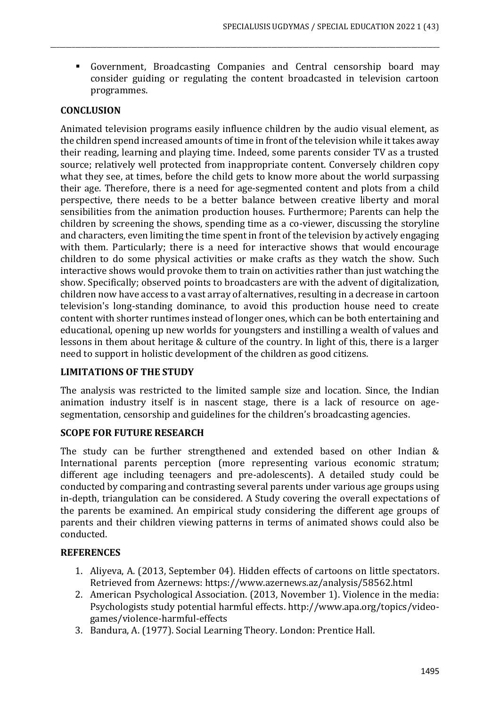▪ Government, Broadcasting Companies and Central censorship board may consider guiding or regulating the content broadcasted in television cartoon programmes.

\_\_\_\_\_\_\_\_\_\_\_\_\_\_\_\_\_\_\_\_\_\_\_\_\_\_\_\_\_\_\_\_\_\_\_\_\_\_\_\_\_\_\_\_\_\_\_\_\_\_\_\_\_\_\_\_\_\_\_\_\_\_\_\_\_\_\_\_\_\_\_\_\_\_\_\_\_\_\_\_\_\_\_\_\_\_\_\_\_\_\_\_\_\_\_\_\_\_\_\_\_\_\_\_\_\_\_\_\_\_\_\_\_\_\_\_\_\_\_\_\_\_\_\_\_

## **CONCLUSION**

Animated television programs easily influence children by the audio visual element, as the children spend increased amounts of time in front of the television while it takes away their reading, learning and playing time. Indeed, some parents consider TV as a trusted source; relatively well protected from inappropriate content. Conversely children copy what they see, at times, before the child gets to know more about the world surpassing their age. Therefore, there is a need for age-segmented content and plots from a child perspective, there needs to be a better balance between creative liberty and moral sensibilities from the animation production houses. Furthermore; Parents can help the children by screening the shows, spending time as a co-viewer, discussing the storyline and characters, even limiting the time spent in front of the television by actively engaging with them. Particularly; there is a need for interactive shows that would encourage children to do some physical activities or make crafts as they watch the show. Such interactive shows would provoke them to train on activities rather than just watching the show. Specifically; observed points to broadcasters are with the advent of digitalization, children now have access to a vast array of alternatives, resulting in a decrease in cartoon television's long-standing dominance, to avoid this production house need to create content with shorter runtimes instead of longer ones, which can be both entertaining and educational, opening up new worlds for youngsters and instilling a wealth of values and lessons in them about heritage & culture of the country. In light of this, there is a larger need to support in holistic development of the children as good citizens.

#### **LIMITATIONS OF THE STUDY**

The analysis was restricted to the limited sample size and location. Since, the Indian animation industry itself is in nascent stage, there is a lack of resource on agesegmentation, censorship and guidelines for the children's broadcasting agencies.

#### **SCOPE FOR FUTURE RESEARCH**

The study can be further strengthened and extended based on other Indian & International parents perception (more representing various economic stratum; different age including teenagers and pre-adolescents). A detailed study could be conducted by comparing and contrasting several parents under various age groups using in-depth, triangulation can be considered. A Study covering the overall expectations of the parents be examined. An empirical study considering the different age groups of parents and their children viewing patterns in terms of animated shows could also be conducted.

#### **REFERENCES**

- 1. Aliyeva, A. (2013, September 04). Hidden effects of cartoons on little spectators. Retrieved from Azernews: https://www.azernews.az/analysis/58562.html
- 2. American Psychological Association. (2013, November 1). Violence in the media: Psychologists study potential harmful effects. http://www.apa.org/topics/videogames/violence-harmful-effects
- 3. Bandura, A. (1977). Social Learning Theory. London: Prentice Hall.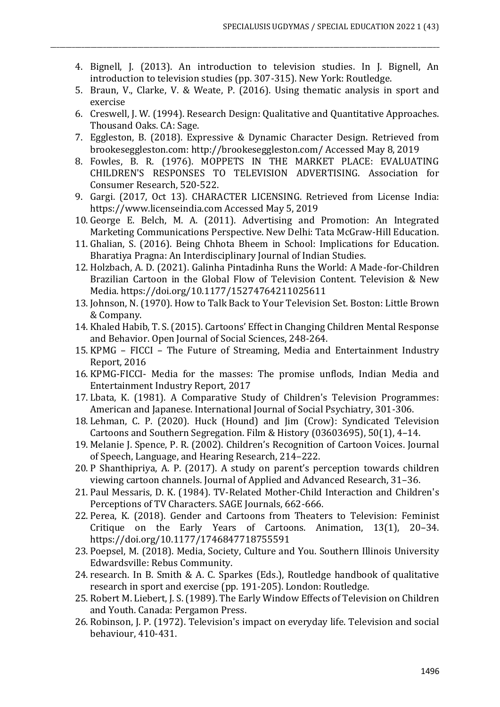4. Bignell, J. (2013). An introduction to television studies. In J. Bignell, An introduction to television studies (pp. 307-315). New York: Routledge.

\_\_\_\_\_\_\_\_\_\_\_\_\_\_\_\_\_\_\_\_\_\_\_\_\_\_\_\_\_\_\_\_\_\_\_\_\_\_\_\_\_\_\_\_\_\_\_\_\_\_\_\_\_\_\_\_\_\_\_\_\_\_\_\_\_\_\_\_\_\_\_\_\_\_\_\_\_\_\_\_\_\_\_\_\_\_\_\_\_\_\_\_\_\_\_\_\_\_\_\_\_\_\_\_\_\_\_\_\_\_\_\_\_\_\_\_\_\_\_\_\_\_\_\_\_

- 5. Braun, V., Clarke, V. & Weate, P. (2016). Using thematic analysis in sport and exercise
- 6. Creswell, J. W. (1994). Research Design: Qualitative and Quantitative Approaches. Thousand Oaks. CA: Sage.
- 7. Eggleston, B. (2018). Expressive & Dynamic Character Design. Retrieved from brookeseggleston.com: http://brookeseggleston.com/ Accessed May 8, 2019
- 8. Fowles, B. R. (1976). MOPPETS IN THE MARKET PLACE: EVALUATING CHILDREN'S RESPONSES TO TELEVISION ADVERTISING. Association for Consumer Research, 520-522.
- 9. Gargi. (2017, Oct 13). CHARACTER LICENSING. Retrieved from License India: https://www.licenseindia.com Accessed May 5, 2019
- 10. George E. Belch, M. A. (2011). Advertising and Promotion: An Integrated Marketing Communications Perspective. New Delhi: Tata McGraw-Hill Education.
- 11. Ghalian, S. (2016). Being Chhota Bheem in School: Implications for Education. Bharatiya Pragna: An Interdisciplinary Journal of Indian Studies.
- 12. Holzbach, A. D. (2021). Galinha Pintadinha Runs the World: A Made-for-Children Brazilian Cartoon in the Global Flow of Television Content. Television & New Media. https://doi.org/10.1177/15274764211025611
- 13. Johnson, N. (1970). How to Talk Back to Your Television Set. Boston: Little Brown & Company.
- 14. Khaled Habib, T. S. (2015). Cartoons' Effect in Changing Children Mental Response and Behavior. Open Journal of Social Sciences, 248-264.
- 15. KPMG FICCI The Future of Streaming, Media and Entertainment Industry Report, 2016
- 16. KPMG-FICCI- Media for the masses: The promise unflods, Indian Media and Entertainment Industry Report, 2017
- 17. Lbata, K. (1981). A Comparative Study of Children's Television Programmes: American and Japanese. International Journal of Social Psychiatry, 301-306.
- 18. Lehman, C. P. (2020). Huck (Hound) and Jim (Crow): Syndicated Television Cartoons and Southern Segregation. Film & History (03603695), 50(1), 4–14.
- 19. Melanie J. Spence, P. R. (2002). Children's Recognition of Cartoon Voices. Journal of Speech, Language, and Hearing Research, 214–222.
- 20. P Shanthipriya, A. P. (2017). A study on parent's perception towards children viewing cartoon channels. Journal of Applied and Advanced Research, 31–36.
- 21. Paul Messaris, D. K. (1984). TV-Related Mother-Child Interaction and Children's Perceptions of TV Characters. SAGE Journals, 662-666.
- 22. Perea, K. (2018). Gender and Cartoons from Theaters to Television: Feminist Critique on the Early Years of Cartoons. Animation, 13(1), 20–34. https://doi.org/10.1177/1746847718755591
- 23. Poepsel, M. (2018). Media, Society, Culture and You. Southern Illinois University Edwardsville: Rebus Community.
- 24. research. In B. Smith & A. C. Sparkes (Eds.), Routledge handbook of qualitative research in sport and exercise (pp. 191-205). London: Routledge.
- 25. Robert M. Liebert, J. S. (1989). The Early Window Effects of Television on Children and Youth. Canada: Pergamon Press.
- 26. Robinson, J. P. (1972). Television's impact on everyday life. Television and social behaviour, 410-431.